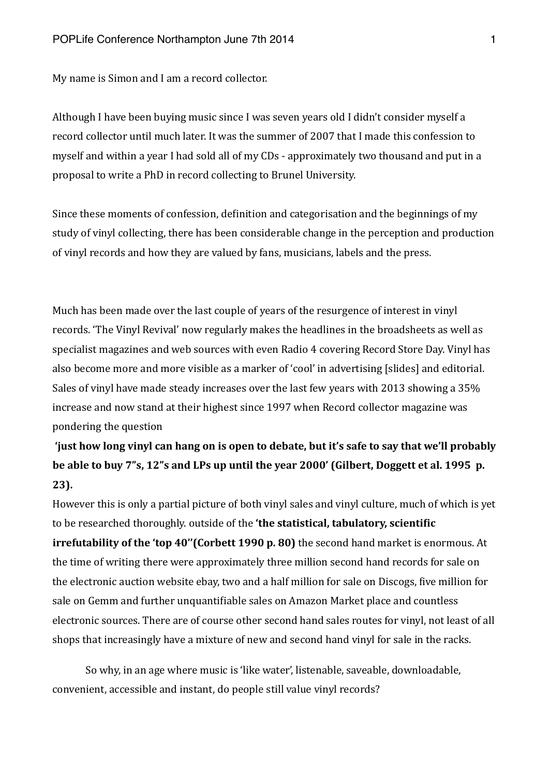My name is Simon and I am a record collector.

Although I have been buying music since I was seven years old I didn't consider myself a record collector until much later. It was the summer of 2007 that I made this confession to myself and within a year I had sold all of my CDs - approximately two thousand and put in a proposal to write a PhD in record collecting to Brunel University.

Since these moments of confession, definition and categorisation and the beginnings of my study of vinyl collecting, there has been considerable change in the perception and production of vinyl records and how they are valued by fans, musicians, labels and the press.

Much has been made over the last couple of years of the resurgence of interest in vinyl records. 'The Vinyl Revival' now regularly makes the headlines in the broadsheets as well as specialist magazines and web sources with even Radio 4 covering Record Store Day. Vinyl has also become more and more visible as a marker of 'cool' in advertising [slides] and editorial. Sales of vinyl have made steady increases over the last few years with 2013 showing a 35% increase and now stand at their highest since 1997 when Record collector magazine was pondering the question

**Tranger is a set of the Set of Set of Set of Set of the Book is that we'll probably** be able to buy 7"s, 12"s and LPs up until the year 2000' (Gilbert, Doggett et al. 1995 p. **23**).

However this is only a partial picture of both vinyl sales and vinyl culture, much of which is yet to be researched thoroughly. outside of the 'the statistical, tabulatory, scientific **irrefutability of the 'top 40''(Corbett 1990 p. 80)** the second hand market is enormous. At the time of writing there were approximately three million second hand records for sale on the electronic auction website ebay, two and a half million for sale on Discogs, five million for sale on Gemm and further unquantifiable sales on Amazon Market place and countless electronic sources. There are of course other second hand sales routes for vinyl, not least of all shops that increasingly have a mixture of new and second hand vinyl for sale in the racks.

So why, in an age where music is 'like water', listenable, saveable, downloadable, convenient, accessible and instant, do people still value vinyl records?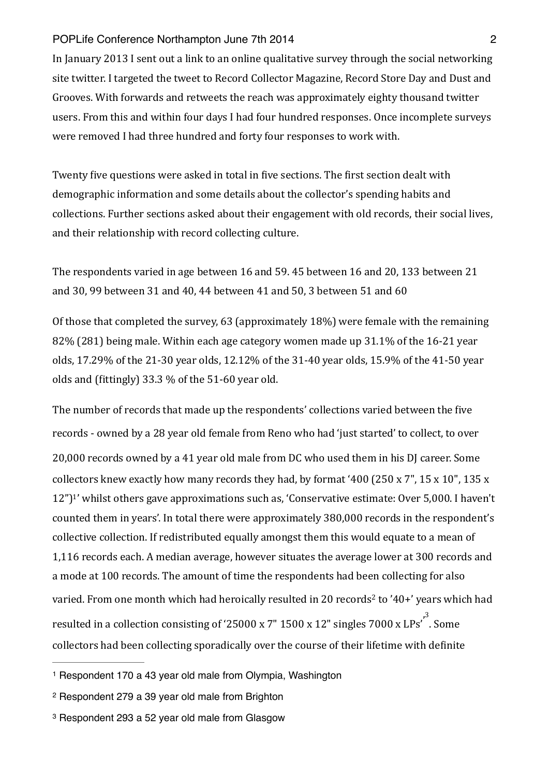In January 2013 I sent out a link to an online qualitative survey through the social networking site twitter. I targeted the tweet to Record Collector Magazine, Record Store Day and Dust and Grooves. With forwards and retweets the reach was approximately eighty thousand twitter users. From this and within four days I had four hundred responses. Once incomplete surveys were removed I had three hundred and forty four responses to work with.

Twenty five questions were asked in total in five sections. The first section dealt with demographic information and some details about the collector's spending habits and collections. Further sections asked about their engagement with old records, their social lives, and their relationship with record collecting culture.

The respondents varied in age between 16 and 59. 45 between 16 and 20, 133 between 21 and  $30$ , 99 between  $31$  and  $40$ ,  $44$  between  $41$  and  $50$ ,  $3$  between  $51$  and  $60$ 

Of those that completed the survey, 63 (approximately 18%) were female with the remaining  $82\%$  (281) being male. Within each age category women made up 31.1% of the 16-21 year olds, 17.29% of the 21-30 year olds, 12.12% of the 31-40 year olds, 15.9% of the 41-50 year olds and (fittingly)  $33.3\%$  of the  $51-60$  year old.

<span id="page-1-3"></span>The number of records that made up the respondents' collections varied between the five records - owned by a 28 year old female from Reno who had 'just started' to collect, to over 20,000 records owned by a 41 year old male from DC who used them in his DJ career. Some collectors knew exactly how many records they had, by format '400 (250 x 7", 15 x 10", 135 x  $12$  $12$ ")<sup>1</sup>' whilst others gave approximations such as, 'Conservative estimate: Over 5,000. I haven't counted them in years'. In total there were approximately 380,000 records in the respondent's collective collection. If redistributed equally amongst them this would equate to a mean of 1,116 records each. A median average, however situates the average lower at 300 records and a mode at 100 records. The amount of time the respondents had been collecting for also varied. From one month which had heroically resulted in [2](#page-1-1)0 records<sup>2</sup> to '40+' years which had resulted in a collection consisting of '25000 x 7" 1500 x 12" singles 7000 x LPs'<sup>,[3](#page-1-2)</sup>. Some collectors had been collecting sporadically over the course of their lifetime with definite

<span id="page-1-5"></span><span id="page-1-4"></span><span id="page-1-0"></span>[<sup>1</sup>](#page-1-3) Respondent 170 a 43 year old male from Olympia, Washington

<span id="page-1-1"></span>[<sup>2</sup>](#page-1-4) Respondent 279 a 39 year old male from Brighton

<span id="page-1-2"></span>[<sup>3</sup>](#page-1-5) Respondent 293 a 52 year old male from Glasgow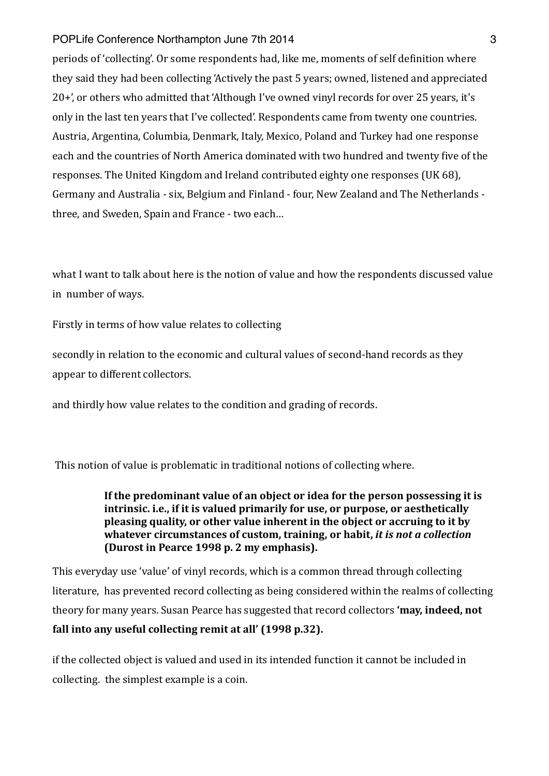periods of 'collecting'. Or some respondents had, like me, moments of self definition where they said they had been collecting 'Actively the past 5 years; owned, listened and appreciated 20+', or others who admitted that 'Although I've owned vinyl records for over 25 years, it's only in the last ten years that I've collected'. Respondents came from twenty one countries. Austria, Argentina, Columbia, Denmark, Italy, Mexico, Poland and Turkey had one response each and the countries of North America dominated with two hundred and twenty five of the responses. The United Kingdom and Ireland contributed eighty one responses (UK 68), Germany and Australia - six, Belgium and Finland - four, New Zealand and The Netherlands three, and Sweden, Spain and France - two each...

what I want to talk about here is the notion of value and how the respondents discussed value in number of ways.

Firstly in terms of how value relates to collecting

secondly in relation to the economic and cultural values of second-hand records as they appear to different collectors.

and thirdly how value relates to the condition and grading of records.

This notion of value is problematic in traditional notions of collecting where.

If the predominant value of an object or idea for the person possessing it is **intrinsic.** i.e., if it is valued primarily for use, or purpose, or aesthetically **pleasing quality, or other value inherent in the object or accruing to it by** whatever circumstances of custom, training, or habit, *it is not a collection* **(Durost in Pearce 1998 p. 2 my emphasis).** 

This everyday use 'value' of vinyl records, which is a common thread through collecting literature, has prevented record collecting as being considered within the realms of collecting theory for many vears. Susan Pearce has suggested that record collectors **'may, indeed, not** fall into any useful collecting remit at all' (1998 p.32).

if the collected object is valued and used in its intended function it cannot be included in collecting. the simplest example is a coin.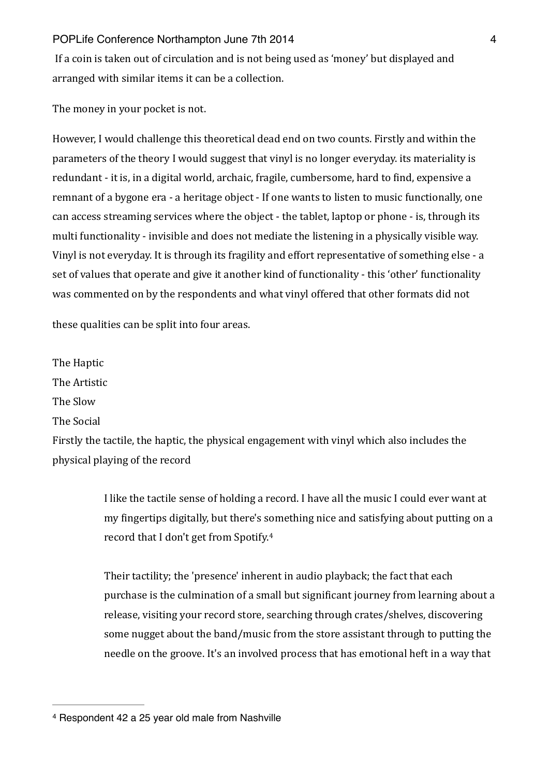If a coin is taken out of circulation and is not being used as 'money' but displayed and arranged with similar items it can be a collection.

The money in your pocket is not.

However, I would challenge this theoretical dead end on two counts. Firstly and within the parameters of the theory I would suggest that vinyl is no longer everyday. its materiality is redundant - it is, in a digital world, archaic, fragile, cumbersome, hard to find, expensive a remnant of a bygone era - a heritage object - If one wants to listen to music functionally, one can access streaming services where the object - the tablet, laptop or phone - is, through its multi functionality - invisible and does not mediate the listening in a physically visible way. Vinyl is not everyday. It is through its fragility and effort representative of something else - a set of values that operate and give it another kind of functionality - this 'other' functionality was commented on by the respondents and what vinyl offered that other formats did not

these qualities can be split into four areas.

The Haptic

The Artistic 

The Slow

The Social

Firstly the tactile, the haptic, the physical engagement with vinyl which also includes the physical playing of the record

> <span id="page-3-1"></span>I like the tactile sense of holding a record. I have all the music I could ever want at my fingertips digitally, but there's something nice and satisfying about putting on a record that I don't get from Spotify.<sup>[4](#page-3-0)</sup>

> Their tactility; the 'presence' inherent in audio playback; the fact that each purchase is the culmination of a small but significant journey from learning about a release, visiting your record store, searching through crates/shelves, discovering some nugget about the band/music from the store assistant through to putting the needle on the groove. It's an involved process that has emotional heft in a way that

<span id="page-3-0"></span>[<sup>4</sup>](#page-3-1) Respondent 42 a 25 year old male from Nashville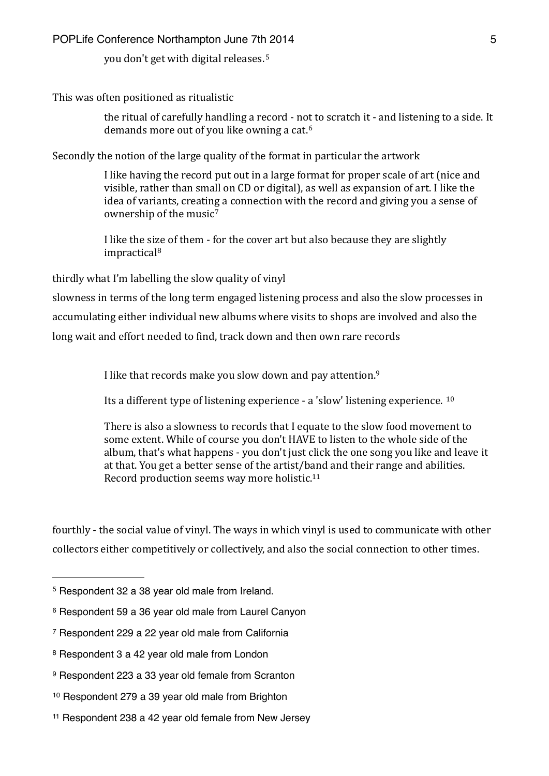<span id="page-4-7"></span>you don't get with digital releases.<sup>[5](#page-4-0)</sup>

This was often positioned as ritualistic

<span id="page-4-8"></span>the ritual of carefully handling a record - not to scratch it - and listening to a side. It demands more out of you like owning a cat.<sup>[6](#page-4-1)</sup>

Secondly the notion of the large quality of the format in particular the artwork

I like having the record put out in a large format for proper scale of art (nice and visible, rather than small on CD or digital), as well as expansion of art. I like the idea of variants, creating a connection with the record and giving you a sense of ownership of the music<sup>[7](#page-4-2)</sup>

<span id="page-4-10"></span><span id="page-4-9"></span>I like the size of them - for the cover art but also because they are slightly impractical[8](#page-4-3)

thirdly what I'm labelling the slow quality of vinyl

slowness in terms of the long term engaged listening process and also the slow processes in accumulating either individual new albums where visits to shops are involved and also the long wait and effort needed to find, track down and then own rare records

<span id="page-4-11"></span>I like that records make you slow down and pay attention.<sup>[9](#page-4-4)</sup>

<span id="page-4-12"></span>Its a different type of listening experience  $\cdot$  a 'slow' listening experience.  $10$ 

<span id="page-4-13"></span>There is also a slowness to records that I equate to the slow food movement to some extent. While of course you don't HAVE to listen to the whole side of the album, that's what happens - you don't just click the one song you like and leave it at that. You get a better sense of the artist/band and their range and abilities. Record production seems way more holistic.<sup>[11](#page-4-6)</sup>

fourthly - the social value of vinyl. The ways in which vinyl is used to communicate with other collectors either competitively or collectively, and also the social connection to other times.

<span id="page-4-0"></span> $5$  Respondent 32 a 38 year old male from Ireland.

<span id="page-4-1"></span>[<sup>6</sup>](#page-4-8) Respondent 59 a 36 year old male from Laurel Canyon

<span id="page-4-2"></span>[<sup>7</sup>](#page-4-9) Respondent 229 a 22 year old male from California

<span id="page-4-3"></span>[<sup>8</sup>](#page-4-10) Respondent 3 a 42 year old male from London

<span id="page-4-4"></span>[<sup>9</sup>](#page-4-11) Respondent 223 a 33 year old female from Scranton

<span id="page-4-5"></span>[<sup>10</sup>](#page-4-12) Respondent 279 a 39 year old male from Brighton

<span id="page-4-6"></span> $11$  Respondent 238 a 42 year old female from New Jersey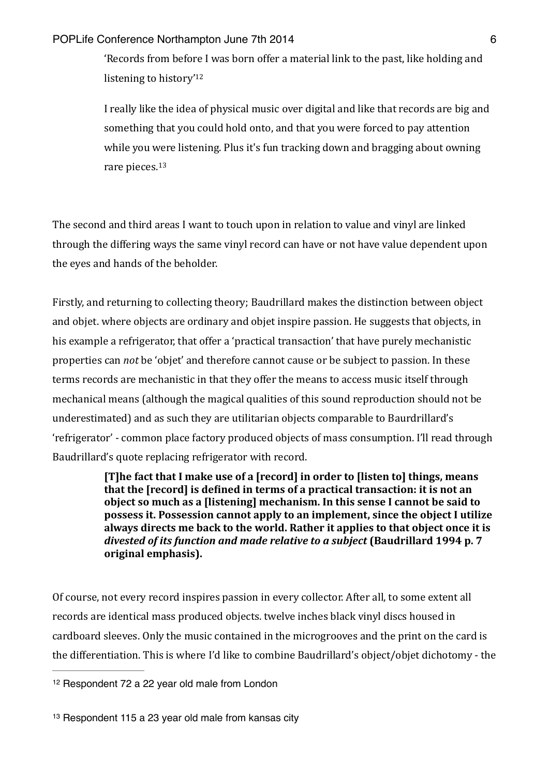<span id="page-5-2"></span>'Records from before I was born offer a material link to the past, like holding and listening to history'<sup>12</sup>

<span id="page-5-3"></span>I really like the idea of physical music over digital and like that records are big and something that you could hold onto, and that you were forced to pay attention while you were listening. Plus it's fun tracking down and bragging about owning rare pieces.<sup>[13](#page-5-1)</sup>

The second and third areas I want to touch upon in relation to value and vinyl are linked through the differing ways the same vinyl record can have or not have value dependent upon the eyes and hands of the beholder.

Firstly, and returning to collecting theory; Baudrillard makes the distinction between object and objet. where objects are ordinary and objet inspire passion. He suggests that objects, in his example a refrigerator, that offer a 'practical transaction' that have purely mechanistic properties can *not* be 'objet' and therefore cannot cause or be subject to passion. In these terms records are mechanistic in that they offer the means to access music itself through mechanical means (although the magical qualities of this sound reproduction should not be underestimated) and as such they are utilitarian objects comparable to Baurdrillard's 'refrigerator' - common place factory produced objects of mass consumption. I'll read through Baudrillard's quote replacing refrigerator with record.

> [T]he fact that I make use of a [record] in order to [listen to] things, means that the Irecordl is defined in terms of a practical transaction: it is not an **object so much as a [listening] mechanism. In this sense I cannot be said to possess it. Possession cannot apply to an implement, since the object I utilize** always directs me back to the world. Rather it applies to that object once it is divested of its function and made relative to a subject (Baudrillard 1994 p. 7 **original emphasis).**

Of course, not every record inspires passion in every collector. After all, to some extent all records are identical mass produced objects. twelve inches black vinyl discs housed in cardboard sleeves. Only the music contained in the microgrooves and the print on the card is the differentiation. This is where I'd like to combine Baudrillard's object/objet dichotomy - the

<span id="page-5-0"></span>[<sup>12</sup>](#page-5-2) Respondent 72 a 22 year old male from London

<span id="page-5-1"></span> $13$  Respondent 115 a 23 year old male from kansas city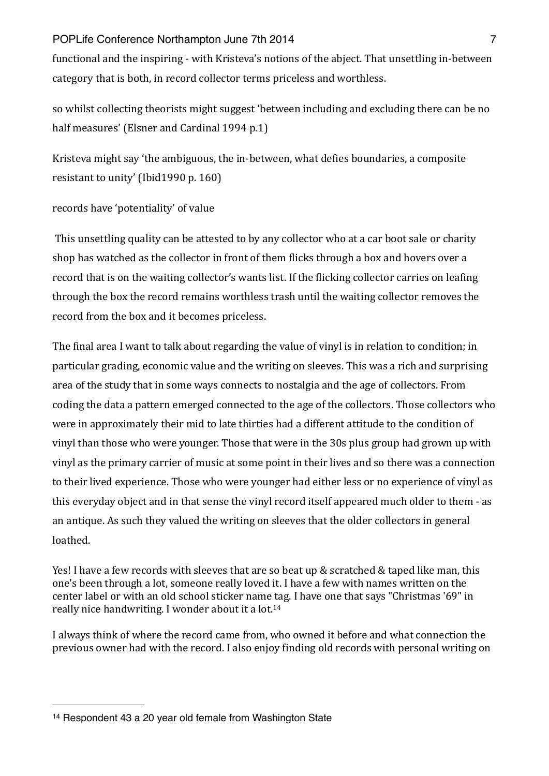## POPLife Conference Northampton June 7th 2014 **7** Australian Management 7

functional and the inspiring - with Kristeva's notions of the abject. That unsettling in-between category that is both, in record collector terms priceless and worthless.

so whilst collecting theorists might suggest 'between including and excluding there can be no half measures' (Elsner and Cardinal 1994 p.1)

Kristeva might say 'the ambiguous, the in-between, what defies boundaries, a composite resistant to unity' (Ibid1990 p.  $160$ )

# records have 'potentiality' of value

This unsettling quality can be attested to by any collector who at a car boot sale or charity shop has watched as the collector in front of them flicks through a box and hovers over a record that is on the waiting collector's wants list. If the flicking collector carries on leafing through the box the record remains worthless trash until the waiting collector removes the record from the box and it becomes priceless.

The final area I want to talk about regarding the value of vinyl is in relation to condition; in particular grading, economic value and the writing on sleeves. This was a rich and surprising area of the study that in some ways connects to nostalgia and the age of collectors. From coding the data a pattern emerged connected to the age of the collectors. Those collectors who were in approximately their mid to late thirties had a different attitude to the condition of vinyl than those who were younger. Those that were in the 30s plus group had grown up with vinyl as the primary carrier of music at some point in their lives and so there was a connection to their lived experience. Those who were younger had either less or no experience of vinyl as this everyday object and in that sense the vinyl record itself appeared much older to them - as an antique. As such they valued the writing on sleeves that the older collectors in general loathed. 

Yes! I have a few records with sleeves that are so beat up  $&$  scratched  $&$  taped like man, this one's been through a lot, someone really loved it. I have a few with names written on the center label or with an old school sticker name tag. I have one that says "Christmas '69" in really nice handwriting. I wonder about it a lot.<sup>14</sup>

<span id="page-6-1"></span>I always think of where the record came from, who owned it before and what connection the previous owner had with the record. I also enjoy finding old records with personal writing on

<span id="page-6-0"></span>[<sup>14</sup>](#page-6-1) Respondent 43 a 20 year old female from Washington State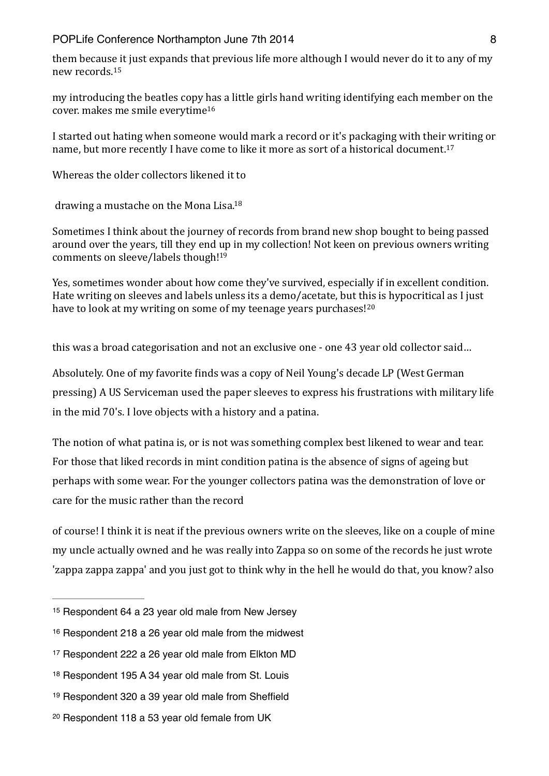<span id="page-7-6"></span>them because it just expands that previous life more although I would never do it to any of my new records.<sup>[15](#page-7-0)</sup>

<span id="page-7-7"></span>my introducing the beatles copy has a little girls hand writing identifying each member on the cover. makes me smile everytime<sup>[16](#page-7-1)</sup>

<span id="page-7-8"></span>I started out hating when someone would mark a record or it's packaging with their writing or name, but more recently I have come to like it more as sort of a historical document.<sup>17</sup>

Whereas the older collectors likened it to

<span id="page-7-9"></span>drawing a mustache on the Mona Lisa.<sup>18</sup>

<span id="page-7-10"></span>Sometimes I think about the journey of records from brand new shop bought to being passed around over the years, till they end up in my collection! Not keen on previous owners writing comments on sleeve/labels though!<sup>19</sup>

<span id="page-7-11"></span>Yes, sometimes wonder about how come they've survived, especially if in excellent condition. Hate writing on sleeves and labels unless its a demo/acetate, but this is hypocritical as I just have to look at my writing on some of my teenage years purchases! $20$ 

this was a broad categorisation and not an exclusive one - one 43 year old collector said...

Absolutely. One of my favorite finds was a copy of Neil Young's decade LP (West German pressing) A US Serviceman used the paper sleeves to express his frustrations with military life in the mid 70's. I love objects with a history and a patina.

The notion of what patina is, or is not was something complex best likened to wear and tear. For those that liked records in mint condition patina is the absence of signs of ageing but perhaps with some wear. For the vounger collectors patina was the demonstration of love or care for the music rather than the record

of course! I think it is neat if the previous owners write on the sleeves, like on a couple of mine my uncle actually owned and he was really into Zappa so on some of the records he just wrote zappa zappa zappa' and you just got to think why in the hell he would do that, you know? also

<span id="page-7-0"></span><sup>&</sup>lt;sup>[15](#page-7-6)</sup> Respondent 64 a 23 year old male from New Jersey

<span id="page-7-1"></span> $16$  Respondent 218 a 26 year old male from the midwest

<span id="page-7-2"></span>[<sup>17</sup>](#page-7-8) Respondent 222 a 26 year old male from Elkton MD

<span id="page-7-3"></span><sup>&</sup>lt;sup>[18](#page-7-9)</sup> Respondent 195 A 34 year old male from St. Louis

<span id="page-7-4"></span>[<sup>19</sup>](#page-7-10) Respondent 320 a 39 year old male from Sheffield

<span id="page-7-5"></span>[<sup>20</sup>](#page-7-11) Respondent 118 a 53 year old female from UK